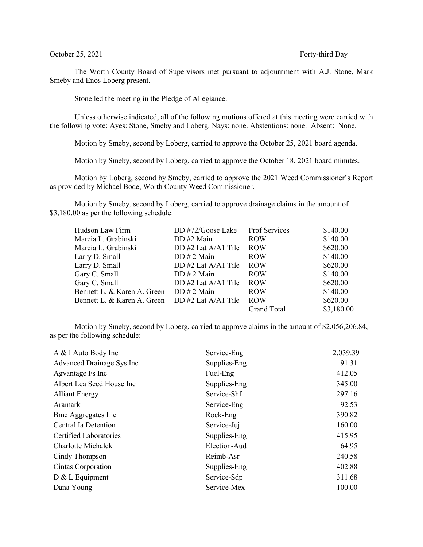The Worth County Board of Supervisors met pursuant to adjournment with A.J. Stone, Mark Smeby and Enos Loberg present.

Stone led the meeting in the Pledge of Allegiance.

Unless otherwise indicated, all of the following motions offered at this meeting were carried with the following vote: Ayes: Stone, Smeby and Loberg. Nays: none. Abstentions: none. Absent: None.

Motion by Smeby, second by Loberg, carried to approve the October 25, 2021 board agenda.

Motion by Smeby, second by Loberg, carried to approve the October 18, 2021 board minutes.

Motion by Loberg, second by Smeby, carried to approve the 2021 Weed Commissioner's Report as provided by Michael Bode, Worth County Weed Commissioner.

Motion by Smeby, second by Loberg, carried to approve drainage claims in the amount of \$3,180.00 as per the following schedule:

| Hudson Law Firm             | DD #72/Goose Lake     | Prof Services      | \$140.00   |
|-----------------------------|-----------------------|--------------------|------------|
| Marcia L. Grabinski         | DD #2 Main            | <b>ROW</b>         | \$140.00   |
| Marcia L. Grabinski         | DD #2 Lat A/A1 Tile   | <b>ROW</b>         | \$620.00   |
| Larry D. Small              | DD # 2 Main           | <b>ROW</b>         | \$140.00   |
| Larry D. Small              | DD #2 Lat $A/A1$ Tile | <b>ROW</b>         | \$620.00   |
| Gary C. Small               | DD # 2 Main           | <b>ROW</b>         | \$140.00   |
| Gary C. Small               | DD #2 Lat $A/A1$ Tile | <b>ROW</b>         | \$620.00   |
| Bennett L. & Karen A. Green | $DD # 2$ Main         | <b>ROW</b>         | \$140.00   |
| Bennett L. & Karen A. Green | DD #2 Lat $A/A1$ Tile | <b>ROW</b>         | \$620.00   |
|                             |                       | <b>Grand Total</b> | \$3,180.00 |

Motion by Smeby, second by Loberg, carried to approve claims in the amount of \$2,056,206.84, as per the following schedule:

| A & I Auto Body Inc           | Service-Eng  | 2,039.39 |
|-------------------------------|--------------|----------|
| Advanced Drainage Sys Inc     | Supplies-Eng | 91.31    |
| Agvantage Fs Inc              | Fuel-Eng     | 412.05   |
| Albert Lea Seed House Inc     | Supplies-Eng | 345.00   |
| <b>Alliant Energy</b>         | Service-Shf  | 297.16   |
| Aramark                       | Service-Eng  | 92.53    |
| <b>Bmc Aggregates Llc</b>     | Rock-Eng     | 390.82   |
| Central Ia Detention          | Service-Juj  | 160.00   |
| <b>Certified Laboratories</b> | Supplies-Eng | 415.95   |
| Charlotte Michalek            | Election-Aud | 64.95    |
| Cindy Thompson                | Reimb-Asr    | 240.58   |
| Cintas Corporation            | Supplies-Eng | 402.88   |
| D & L Equipment               | Service-Sdp  | 311.68   |
| Dana Young                    | Service-Mex  | 100.00   |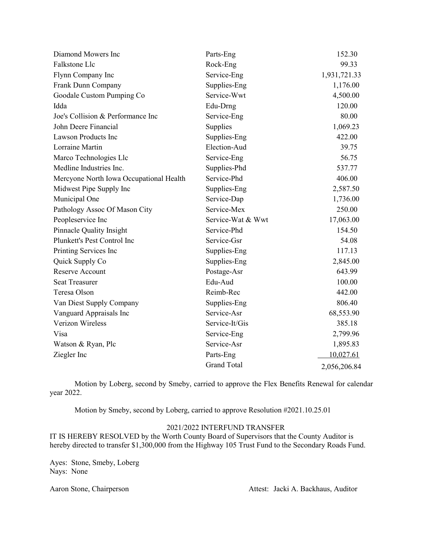| Diamond Mowers Inc                      | Parts-Eng          | 152.30       |
|-----------------------------------------|--------------------|--------------|
| Falkstone Llc                           | Rock-Eng           | 99.33        |
| Flynn Company Inc                       | Service-Eng        | 1,931,721.33 |
| Frank Dunn Company                      | Supplies-Eng       | 1,176.00     |
| Goodale Custom Pumping Co               | Service-Wwt        | 4,500.00     |
| Idda                                    | Edu-Drng           | 120.00       |
| Joe's Collision & Performance Inc       | Service-Eng        | 80.00        |
| John Deere Financial                    | Supplies           | 1,069.23     |
| Lawson Products Inc                     | Supplies-Eng       | 422.00       |
| Lorraine Martin                         | Election-Aud       | 39.75        |
| Marco Technologies Llc                  | Service-Eng        | 56.75        |
| Medline Industries Inc.                 | Supplies-Phd       | 537.77       |
| Mercyone North Iowa Occupational Health | Service-Phd        | 406.00       |
| Midwest Pipe Supply Inc                 | Supplies-Eng       | 2,587.50     |
| Municipal One                           | Service-Dap        | 1,736.00     |
| Pathology Assoc Of Mason City           | Service-Mex        | 250.00       |
| Peopleservice Inc                       | Service-Wat & Wwt  | 17,063.00    |
| Pinnacle Quality Insight                | Service-Phd        | 154.50       |
| Plunkett's Pest Control Inc             | Service-Gsr        | 54.08        |
| Printing Services Inc                   | Supplies-Eng       | 117.13       |
| Quick Supply Co                         | Supplies-Eng       | 2,845.00     |
| <b>Reserve Account</b>                  | Postage-Asr        | 643.99       |
| <b>Seat Treasurer</b>                   | Edu-Aud            | 100.00       |
| Teresa Olson                            | Reimb-Rec          | 442.00       |
| Van Diest Supply Company                | Supplies-Eng       | 806.40       |
| Vanguard Appraisals Inc                 | Service-Asr        | 68,553.90    |
| Verizon Wireless                        | Service-It/Gis     | 385.18       |
| Visa                                    | Service-Eng        | 2,799.96     |
| Watson & Ryan, Plc                      | Service-Asr        | 1,895.83     |
| Ziegler Inc                             | Parts-Eng          | 10,027.61    |
|                                         | <b>Grand Total</b> | 2,056,206.84 |

Motion by Loberg, second by Smeby, carried to approve the Flex Benefits Renewal for calendar year 2022.

Motion by Smeby, second by Loberg, carried to approve Resolution #2021.10.25.01

## 2021/2022 INTERFUND TRANSFER

IT IS HEREBY RESOLVED by the Worth County Board of Supervisors that the County Auditor is hereby directed to transfer \$1,300,000 from the Highway 105 Trust Fund to the Secondary Roads Fund.

Ayes: Stone, Smeby, Loberg Nays: None